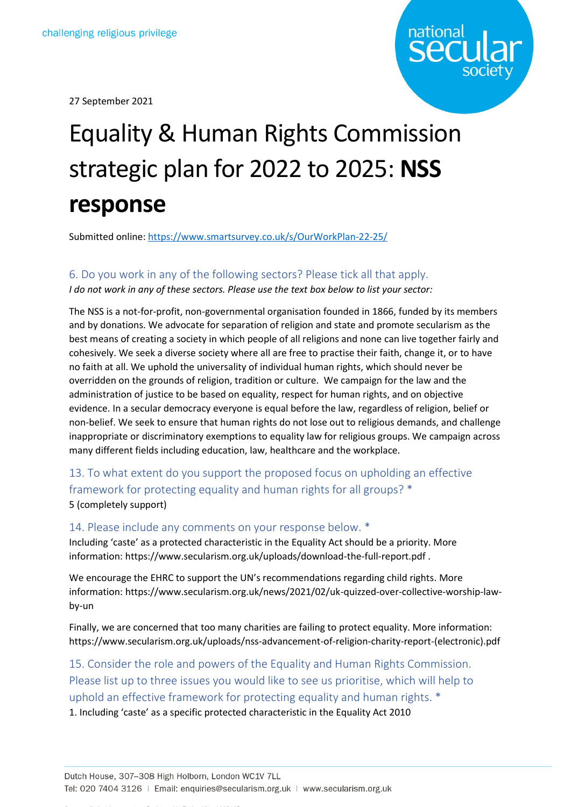27 September 2021



# Equality & Human Rights Commission strategic plan for 2022 to 2025: **NSS response**

Submitted online[: https://www.smartsurvey.co.uk/s/OurWorkPlan-22-25/](https://www.smartsurvey.co.uk/s/OurWorkPlan-22-25/)

#### 6. Do you work in any of the following sectors? Please tick all that apply.

*I do not work in any of these sectors. Please use the text box below to list your sector:*

The NSS is a not-for-profit, non-governmental organisation founded in 1866, funded by its members and by donations. We advocate for separation of religion and state and promote secularism as the best means of creating a society in which people of all religions and none can live together fairly and cohesively. We seek a diverse society where all are free to practise their faith, change it, or to have no faith at all. We uphold the universality of individual human rights, which should never be overridden on the grounds of religion, tradition or culture. We campaign for the law and the administration of justice to be based on equality, respect for human rights, and on objective evidence. In a secular democracy everyone is equal before the law, regardless of religion, belief or non-belief. We seek to ensure that human rights do not lose out to religious demands, and challenge inappropriate or discriminatory exemptions to equality law for religious groups. We campaign across many different fields including education, law, healthcare and the workplace.

13. To what extent do you support the proposed focus on upholding an effective framework for protecting equality and human rights for all groups? \* 5 (completely support)

#### 14. Please include any comments on your response below. \*

Including 'caste' as a protected characteristic in the Equality Act should be a priority. More information: https://www.secularism.org.uk/uploads/download-the-full-report.pdf .

We encourage the EHRC to support the UN's recommendations regarding child rights. More information: https://www.secularism.org.uk/news/2021/02/uk-quizzed-over-collective-worship-lawby-un

Finally, we are concerned that too many charities are failing to protect equality. More information: https://www.secularism.org.uk/uploads/nss-advancement-of-religion-charity-report-(electronic).pdf

# 15. Consider the role and powers of the Equality and Human Rights Commission. Please list up to three issues you would like to see us prioritise, which will help to uphold an effective framework for protecting equality and human rights. \*

1. Including 'caste' as a specific protected characteristic in the Equality Act 2010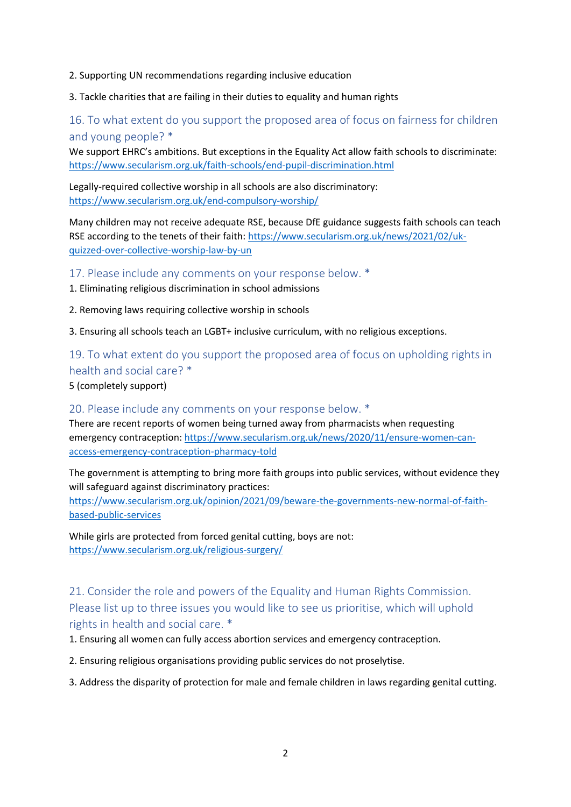- 2. Supporting UN recommendations regarding inclusive education
- 3. Tackle charities that are failing in their duties to equality and human rights

# 16. To what extent do you support the proposed area of focus on fairness for children and young people? \*

We support EHRC's ambitions. But exceptions in the Equality Act allow faith schools to discriminate: <https://www.secularism.org.uk/faith-schools/end-pupil-discrimination.html>

Legally-required collective worship in all schools are also discriminatory: <https://www.secularism.org.uk/end-compulsory-worship/>

Many children may not receive adequate RSE, because DfE guidance suggests faith schools can teach RSE according to the tenets of their faith[: https://www.secularism.org.uk/news/2021/02/uk](https://www.secularism.org.uk/news/2021/02/uk-quizzed-over-collective-worship-law-by-un)[quizzed-over-collective-worship-law-by-un](https://www.secularism.org.uk/news/2021/02/uk-quizzed-over-collective-worship-law-by-un)

17. Please include any comments on your response below. \*

- 1. Eliminating religious discrimination in school admissions
- 2. Removing laws requiring collective worship in schools

3. Ensuring all schools teach an LGBT+ inclusive curriculum, with no religious exceptions.

# 19. To what extent do you support the proposed area of focus on upholding rights in health and social care? \*

5 (completely support)

20. Please include any comments on your response below. \*

There are recent reports of women being turned away from pharmacists when requesting emergency contraception: [https://www.secularism.org.uk/news/2020/11/ensure-women-can](https://www.secularism.org.uk/news/2020/11/ensure-women-can-access-emergency-contraception-pharmacy-told)[access-emergency-contraception-pharmacy-told](https://www.secularism.org.uk/news/2020/11/ensure-women-can-access-emergency-contraception-pharmacy-told)

The government is attempting to bring more faith groups into public services, without evidence they will safeguard against discriminatory practices:

[https://www.secularism.org.uk/opinion/2021/09/beware-the-governments-new-normal-of-faith](https://www.secularism.org.uk/opinion/2021/09/beware-the-governments-new-normal-of-faith-based-public-services)[based-public-services](https://www.secularism.org.uk/opinion/2021/09/beware-the-governments-new-normal-of-faith-based-public-services)

While girls are protected from forced genital cutting, boys are not: <https://www.secularism.org.uk/religious-surgery/>

# 21. Consider the role and powers of the Equality and Human Rights Commission. Please list up to three issues you would like to see us prioritise, which will uphold rights in health and social care. \*

1. Ensuring all women can fully access abortion services and emergency contraception.

2. Ensuring religious organisations providing public services do not proselytise.

3. Address the disparity of protection for male and female children in laws regarding genital cutting.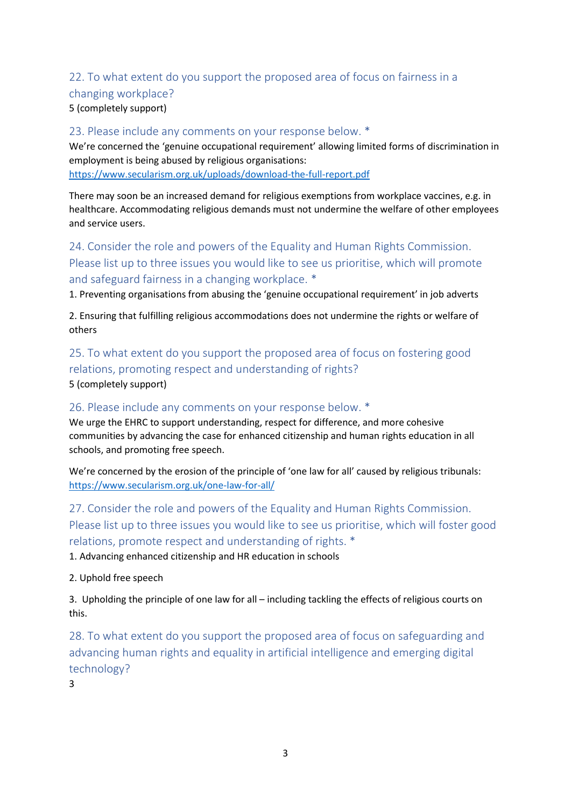# 22. To what extent do you support the proposed area of focus on fairness in a

### changing workplace?

5 (completely support)

### 23. Please include any comments on your response below. \*

We're concerned the 'genuine occupational requirement' allowing limited forms of discrimination in employment is being abused by religious organisations: <https://www.secularism.org.uk/uploads/download-the-full-report.pdf>

There may soon be an increased demand for religious exemptions from workplace vaccines, e.g. in healthcare. Accommodating religious demands must not undermine the welfare of other employees and service users.

# 24. Consider the role and powers of the Equality and Human Rights Commission. Please list up to three issues you would like to see us prioritise, which will promote and safeguard fairness in a changing workplace. \*

1. Preventing organisations from abusing the 'genuine occupational requirement' in job adverts

2. Ensuring that fulfilling religious accommodations does not undermine the rights or welfare of others

25. To what extent do you support the proposed area of focus on fostering good relations, promoting respect and understanding of rights?

5 (completely support)

### 26. Please include any comments on your response below. \*

We urge the EHRC to support understanding, respect for difference, and more cohesive communities by advancing the case for enhanced citizenship and human rights education in all schools, and promoting free speech.

We're concerned by the erosion of the principle of 'one law for all' caused by religious tribunals: <https://www.secularism.org.uk/one-law-for-all/>

27. Consider the role and powers of the Equality and Human Rights Commission. Please list up to three issues you would like to see us prioritise, which will foster good relations, promote respect and understanding of rights. \*

1. Advancing enhanced citizenship and HR education in schools

2. Uphold free speech

3. Upholding the principle of one law for all – including tackling the effects of religious courts on this.

28. To what extent do you support the proposed area of focus on safeguarding and advancing human rights and equality in artificial intelligence and emerging digital technology?

3